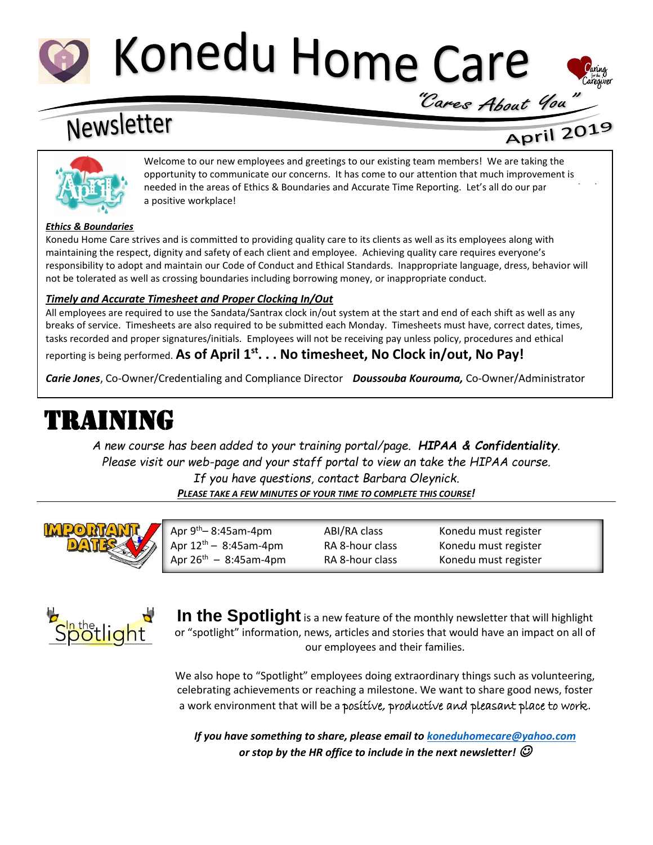# Konedu Home Care



## Newsletter

## April 2019



Welcome to our new employees and greetings to our existing team members! We are taking the opportunity to communicate our concerns. It has come to our attention that much improvement is needed in the areas of Ethics & Boundaries and Accurate Time Reporting. Let's all do our par a positive workplace!

#### *Ethics & Boundaries*

Konedu Home Care strives and is committed to providing quality care to its clients as well as its employees along with maintaining the respect, dignity and safety of each client and employee. Achieving quality care requires everyone's responsibility to adopt and maintain our Code of Conduct and Ethical Standards. Inappropriate language, dress, behavior will not be tolerated as well as crossing boundaries including borrowing money, or inappropriate conduct.

#### *Timely and Accurate Timesheet and Proper Clocking In/Out*

All employees are required to use the Sandata/Santrax clock in/out system at the start and end of each shift as well as any breaks of service. Timesheets are also required to be submitted each Monday. Timesheets must have, correct dates, times, tasks recorded and proper signatures/initials. Employees will not be receiving pay unless policy, procedures and ethical

reporting is being performed. **As of April 1 st. . . No timesheet, No Clock in/out, No Pay!**

*Carie Jones*, Co-Owner/Credentialing and Compliance Director *Doussouba Kourouma,* Co-Owner/Administrator

## TRAINING

*A new course has been added to your training portal/page. HIPAA & Confidentiality. Please visit our web-page and your staff portal to view an take the HIPAA course.* 

*If you have questions, contact Barbara Oleynick. PLEASE TAKE A FEW MINUTES OF YOUR TIME TO COMPLETE THIS COURSE!*



| $\mu$ Apr 9 <sup>th</sup> – 8:45am-4pm | ABI/RA class    | Konedu must register |  |
|----------------------------------------|-----------------|----------------------|--|
| Apr $12^{th} - 8:45$ am-4pm            | RA 8-hour class | Konedu must register |  |
| Apr $26^{th} - 8:45$ am-4pm            | RA 8-hour class | Konedu must register |  |



In the Spotlight is a new feature of the monthly newsletter that will highlight or "spotlight" information, news, articles and stories that would have an impact on all of our employees and their families.

We also hope to "Spotlight" employees doing extraordinary things such as volunteering, celebrating achievements or reaching a milestone. We want to share good news, foster a work environment that will be a positive, productive and pleasant place to work.

*If you have something to share, please email to [koneduhomecare@yahoo.com](mailto:koneduhomecare@yahoo.com) or stop by the HR office to include in the next newsletter!*  $\mathcal O$